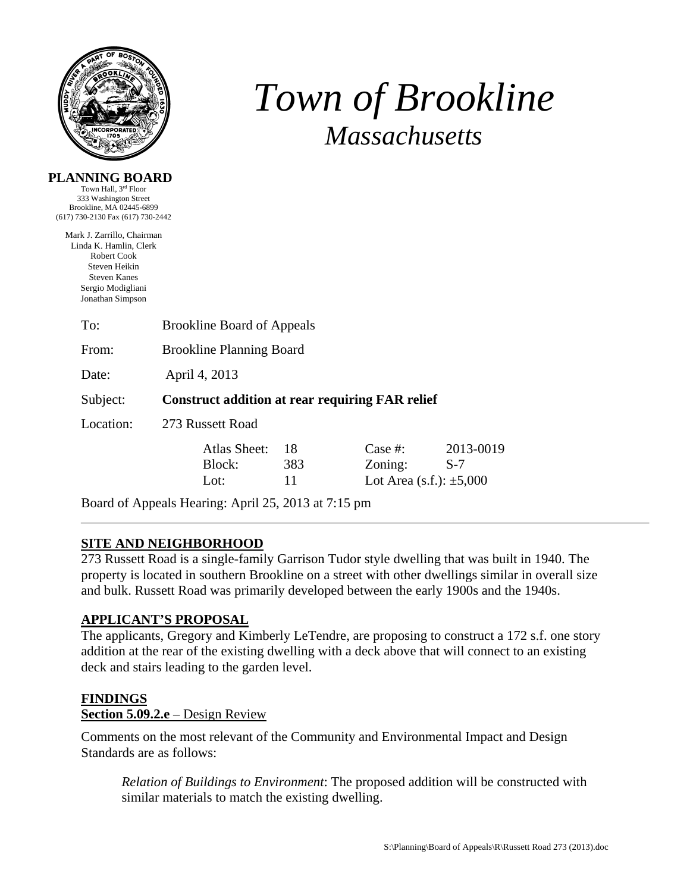

**PLANNING BOARD** 

# *Town of Brookline Massachusetts*

| Town Hall, 3rd Floor<br>333 Washington Street<br>Brookline, MA 02445-6899                                                                            |                                                        |     |                                 |           |
|------------------------------------------------------------------------------------------------------------------------------------------------------|--------------------------------------------------------|-----|---------------------------------|-----------|
| (617) 730-2130 Fax (617) 730-2442                                                                                                                    |                                                        |     |                                 |           |
| Mark J. Zarrillo, Chairman<br>Linda K. Hamlin, Clerk<br>Robert Cook<br>Steven Heikin<br><b>Steven Kanes</b><br>Sergio Modigliani<br>Jonathan Simpson |                                                        |     |                                 |           |
| To:                                                                                                                                                  | <b>Brookline Board of Appeals</b>                      |     |                                 |           |
| From:                                                                                                                                                | <b>Brookline Planning Board</b>                        |     |                                 |           |
| Date:                                                                                                                                                | April 4, 2013                                          |     |                                 |           |
| Subject:                                                                                                                                             | <b>Construct addition at rear requiring FAR relief</b> |     |                                 |           |
| Location:                                                                                                                                            | 273 Russett Road                                       |     |                                 |           |
|                                                                                                                                                      | Atlas Sheet:                                           | 18  | Case $#$ :                      | 2013-0019 |
|                                                                                                                                                      | Block:                                                 | 383 | Zoning:                         | $S-7$     |
|                                                                                                                                                      | Lot:                                                   | 11  | Lot Area $(s.f.)$ : $\pm 5,000$ |           |

Board of Appeals Hearing: April 25, 2013 at 7:15 pm

# **SITE AND NEIGHBORHOOD**

273 Russett Road is a single-family Garrison Tudor style dwelling that was built in 1940. The property is located in southern Brookline on a street with other dwellings similar in overall size and bulk. Russett Road was primarily developed between the early 1900s and the 1940s.

# **APPLICANT'S PROPOSAL**

The applicants, Gregory and Kimberly LeTendre, are proposing to construct a 172 s.f. one story addition at the rear of the existing dwelling with a deck above that will connect to an existing deck and stairs leading to the garden level.

# **FINDINGS**

# **Section 5.09.2.e** – Design Review

Comments on the most relevant of the Community and Environmental Impact and Design Standards are as follows:

*Relation of Buildings to Environment*: The proposed addition will be constructed with similar materials to match the existing dwelling.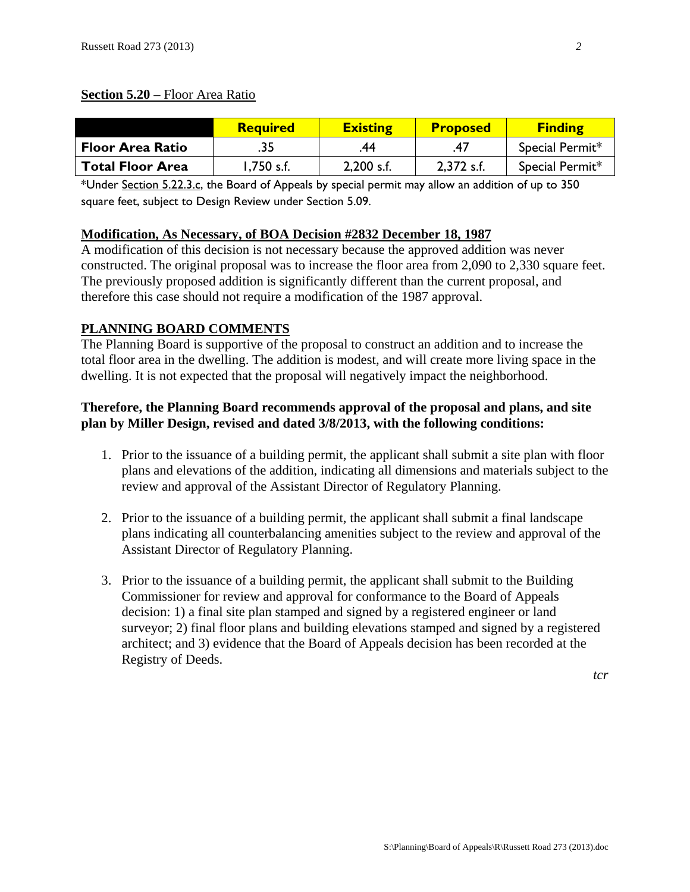# **Section 5.20** – Floor Area Ratio

|                         | <b>Required</b> | <b>Existing</b> | <b>Proposed</b> | <b>Finding</b>  |
|-------------------------|-----------------|-----------------|-----------------|-----------------|
| <b>Floor Area Ratio</b> | .35             | .44             |                 | Special Permit* |
| <b>Total Floor Area</b> | 1,750 s.f.      | $2,200$ s.f.    | $2.372$ s.f.    | Special Permit* |

\*Under Section 5.22.3.c, the Board of Appeals by special permit may allow an addition of up to 350 square feet, subject to Design Review under Section 5.09.

# **Modification, As Necessary, of BOA Decision #2832 December 18, 1987**

A modification of this decision is not necessary because the approved addition was never constructed. The original proposal was to increase the floor area from 2,090 to 2,330 square feet. The previously proposed addition is significantly different than the current proposal, and therefore this case should not require a modification of the 1987 approval.

# **PLANNING BOARD COMMENTS**

The Planning Board is supportive of the proposal to construct an addition and to increase the total floor area in the dwelling. The addition is modest, and will create more living space in the dwelling. It is not expected that the proposal will negatively impact the neighborhood.

# **Therefore, the Planning Board recommends approval of the proposal and plans, and site plan by Miller Design, revised and dated 3/8/2013, with the following conditions:**

- 1. Prior to the issuance of a building permit, the applicant shall submit a site plan with floor plans and elevations of the addition, indicating all dimensions and materials subject to the review and approval of the Assistant Director of Regulatory Planning.
- 2. Prior to the issuance of a building permit, the applicant shall submit a final landscape plans indicating all counterbalancing amenities subject to the review and approval of the Assistant Director of Regulatory Planning.
- 3. Prior to the issuance of a building permit, the applicant shall submit to the Building Commissioner for review and approval for conformance to the Board of Appeals decision: 1) a final site plan stamped and signed by a registered engineer or land surveyor; 2) final floor plans and building elevations stamped and signed by a registered architect; and 3) evidence that the Board of Appeals decision has been recorded at the Registry of Deeds.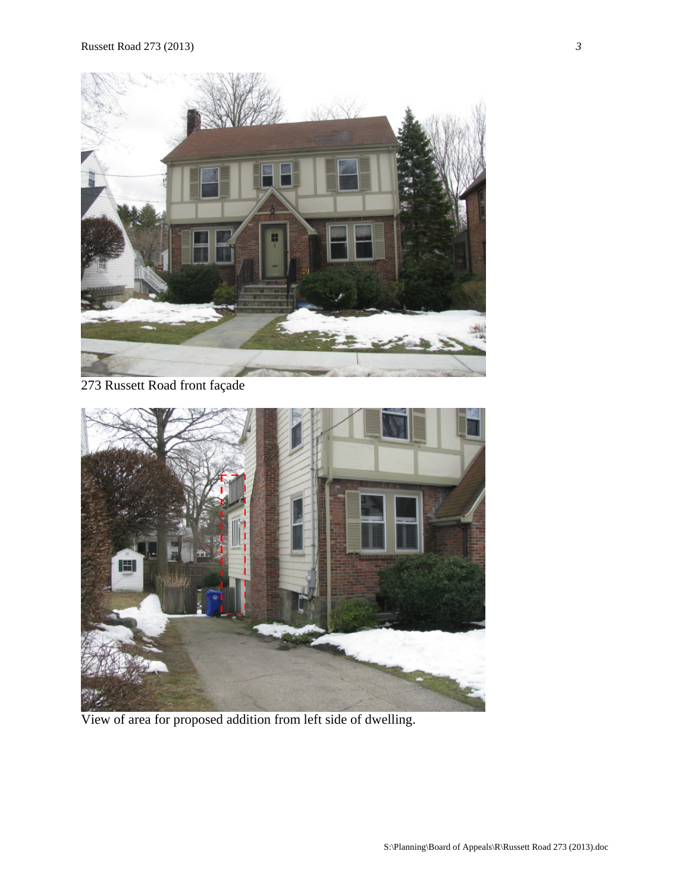

# 273 Russett Road front façade



View of area for proposed addition from left side of dwelling.